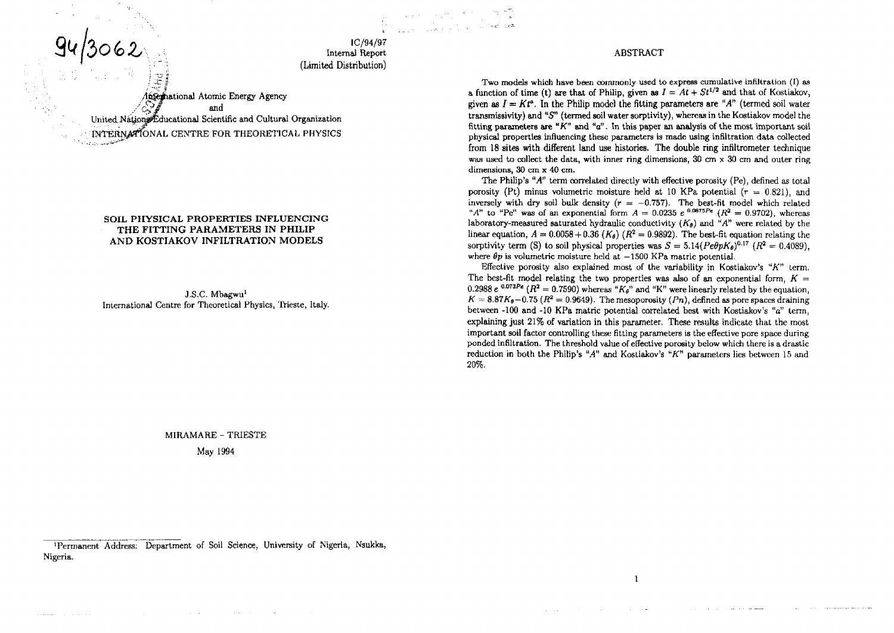IC/94/97 Internal Report (Limited Distribution)

,1fa5e#iationa! Atomic Energy Agency **<sup>W</sup><sup>d</sup>** United Nations Educational Scientific and Cultural Organization INTERNATIONAL CENTRE FOR THEORETICAL PHYSICS

,<br>,೦62

### **SOIL PHYSICAL PROPERTIES INFLUENCING THE FITTING PARAMETERS IN PHILIP AND KOSTIAKOV INFILTRATION MODELS**

J.S.C. Mbagwu<sup>1</sup> International Centre for Theoretical Physics, Trieste, Italy.

> MIRAMARE - TRIESTE May 1994

# 'Permanent Address: Department of Soil Science, University of Nigeria, Nsukka, Nigeria.

**Carl Corporation** 

**Contract Contract** 

#### ABSTRACT

Two models which have been commonly used to express cumulative infiltration (I) as a function of time (t) are that of Philip, given as  $I = At + St^{1/2}$  and that of Kostiakov, given as  $I = Kt^a$ . In the Philip model the fitting parameters are "A" (termed soil water transmissivity) and *"S"* (termed soil water sorptivity), whereas in the Kostiakov model the fitting parameters are *"K"* and "a". In this paper an analysis of the most important soil physical properties influencing these parameters is made using infiltration data collected from 18 sites with different land use histories. The double ring infiltrometer technique was used to collect the data, with inner ring dimensions, 30 cm x 30 cm and outer ring dimensions, 30 cm x 40 cm.

The Philip's *"A"* term correlated directly with effective porosity (Pe), defined as total porosity (Pt) minus volumetric moisture held at 10 KPa potential  $(r = 0.821)$ , and inversely with dry soil bulk density  $(r = -0.757)$ . The best-fit model which related "A" to "Pe" was of an exponential form  $A = 0.0235 e^{-0.0875}$   $(R^2 = 0.9702)$ , whereas laboratory-measured saturated hydraulic conductivity  $(K_{\theta})$  and "A" were related by the linear equation,  $A = 0.0058 + 0.36$  ( $K_{\theta}$ ) ( $R^2 = 0.9892$ ). The best-fit equation relating the sorptivity term (S) to soil physical properties was  $S = 5.14(Pe\theta pK_{\theta})^{0.17}$  ( $R^2 = 0.4089$ ), where  $\theta p$  is volumetric moisture held at  $-1500$  KPa matric potential.

Effective porosity also explained most of the variability in Kostiakov's *"K"* term. The best-fit model relating the two properties was also of an exponential form, *K =*  $0.2988 e^{-0.073Pe}$   $(R^2 = 0.7590)$  whereas " $K_{\theta}$ " and "K" were linearly related by the equation,  $K = 8.87K_{\theta} - 0.75$  ( $R^2 = 0.9649$ ). The mesoporosity  $(Pn)$ , defined as pore spaces draining between -100 and -10 KPa matric potential correlated best with Kostiakov's *"a"* term, explaining just 21% of variation in this parameter. These results indicate that the most important soil factor controlling these fitting parameters is the effective pore space during ponded infiltration. The threshold value of effective porosity below which there is a drastic reduction in both the Philip's *"A"* and Kostiakov's *"K"* parameters lies between 15 and 20%.

 $\mathbf{1}$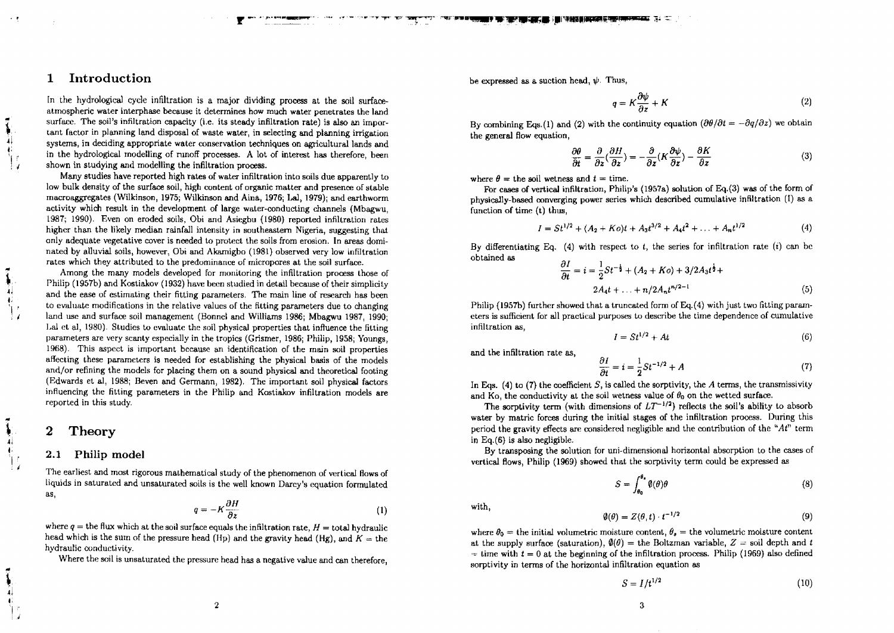# 1 Introduction

In the hydrological cycle infiltration is a major dividing process at the soil surfaceatmospheric water interphase because it determines how much water penetrates the land surface. The soil's infiltration capacity (i.e. its steady infiltration rate) is also an important factor in planning land disposal of waste water, in selecting and planning irrigation systems, in deciding appropriate water conservation techniques on agricultural lands and in the hydrological modelling of runoff processes. A lot of interest has therefore, been shown in studying and modelling the infiltration process.

Many studies have reported high rates of water infiltration into soils due apparently to low bulk density of the surface soil, high content of organic matter and presence of stable inacroaggregates (Wilkinson, 1975; Wilkinson and Aina, 1976; Lai, 1979); and earthworm activity which result in the development of large water-conducting channels (Mbagwu, 1987; 1990). Even on eroded soils, Obi and Asiegbu (1980) reported infiltration rates higher than the likely median rainfall intensity in southeastern Nigeria, suggesting that only adequate vegetative cover is needed to protect the soils from erosion. In areas dominated by alluvial soils, however, Obi and Akamigbo (1981) observed very low infiltration rates which they attributed to the predominance of micropores at the soil surface.

Among the many models developed for monitoring the infiltration process those of Philip (1957b) and Kostiakov (1932) have been studied in detail because of their simplicity and the ease of estimating their fitting parameters. The main line of research has been to evaluate modifications in the relative values of the fitting parameters due to changing land use and surface soil management (Bonnet and Williams 1986; Mbagwu 1987, 1990; Lai et al, 1980). Studies to evaluate the soil physical properties that influence the fitting parameters are very scanty especially in the tropics (Grismer, 1986; Philip, 1958; Youngs, 1968). This aspect is important because an identification of the main soil properties affecting these parameters is needed for establishing the physical basis of the models and/or refining the models for placing them on a sound physical and theoretical footing (Edwards et al, 1988; Beven and Germann, 1982). The important soil physical factors influencing the fitting parameters in the Philip and Kostiakov infiltration models are reported in this study.

# **Theory**

#### 2.1 Philip model

The earliest and most rigorous mathematical study of the phenomenon of vertical flows of liquids in saturated and unsaturated soils is the well known Darcy's equation formulated as,

$$
q = -K \frac{\partial H}{\partial z} \tag{1}
$$

where  $q =$  the flux which at the soil surface equals the infiltration rate,  $H =$  total hydraulic head which is the sum of the pressure head (Hp) and the gravity head (Hg), and  $K =$  the hydraulic conductivity.

Where the soil is unsaturated the pressure head has a negative value and can therefore,

be expressed as a suction head,  $\psi$ . Thus,

$$
q = K \frac{\partial \psi}{\partial z} + K \tag{2}
$$

By combining Eqs.(1) and (2) with the continuity equation  $(\partial \theta/\partial t = -\partial q/\partial z)$  we obtain the general flow equation,

$$
\frac{\partial \theta}{\partial t} = \frac{\partial}{\partial z} \left( \frac{\partial H}{\partial z} \right) = -\frac{\partial}{\partial z} \left( K \frac{\partial \psi}{\partial z} \right) - \frac{\partial K}{\partial z} \tag{3}
$$

where  $\theta$  = the soil wetness and  $t$  = time.

For cases of vertical infiltration, Philip's (1957a) solution of Eq.(3) was of the form of physically-based converging power series which described cumulative infiltration (I) as a function of time (t) thus,

$$
I = St^{1/2} + (A_2 + K_0)t + A_3t^{3/2} + A_4t^2 + \dots + A_nt^{1/2}
$$
 (4)

By differentiating Eq. (4) with respect to *t,* the series for infiltration rate (t) can be obtained as

$$
\frac{\partial I}{\partial t} = i = \frac{1}{2}St^{-\frac{1}{2}} + (A_2 + K_0) + 3/2A_3t^{\frac{1}{2}} +
$$
  
2A<sub>4</sub>t + ... + n/2A<sub>n</sub>t<sup>n/2-1</sup> (5)

Philip (1957b) further showed that a truncated form of Eq.(4) with just two fitting parameters is sufficient for all practical purposes to describe the time dependence of cumulative infiltration as,

$$
I = St^{1/2} + At \tag{6}
$$

and the infiltration rate as,

$$
\frac{\partial I}{\partial t} = i = \frac{1}{2} S t^{-1/2} + A \tag{7}
$$

In Eqs. (4) to (7) the coefficient  $S$ , is called the sorptivity, the  $A$  terms, the transmissivity and Ko, the conductivity at the soil wetness value of  $\theta_0$  on the wetted surface.

The sorptivity term (with dimensions of  $LT^{-1/2}$ ) reflects the soil's ability to absorb water by matric forces during the initial stages of the infiltration process. During this period the gravity effects are considered negligible and the contribution of the "At" term in Eq.(6) is also negligible.

By transposing the solution for uni-dimensional horizontal absorption to the cases of vertical flows, Philip (1969) showed that the sorptivity term could be expressed as

$$
S = \int_{\theta_0}^{\theta_*} \varnothing(\theta)\theta \tag{8}
$$

with,

$$
\varnothing(\theta) = Z(\theta, t) \cdot t^{-1/2} \tag{9}
$$

where  $\theta_0 =$  the initial volumetric moisture content,  $\theta_n =$  the volumetric moisture content at the supply surface (saturation),  $\varnothing(\theta) =$  the Boltzman variable,  $Z =$  soil depth and t  $=$  time with  $t = 0$  at the beginning of the infiltration process. Philip (1969) also defined sorptivity in terms of the horizontal infiltration equation as

$$
S = I/t^{1/2} \tag{10}
$$

 $\overline{2}$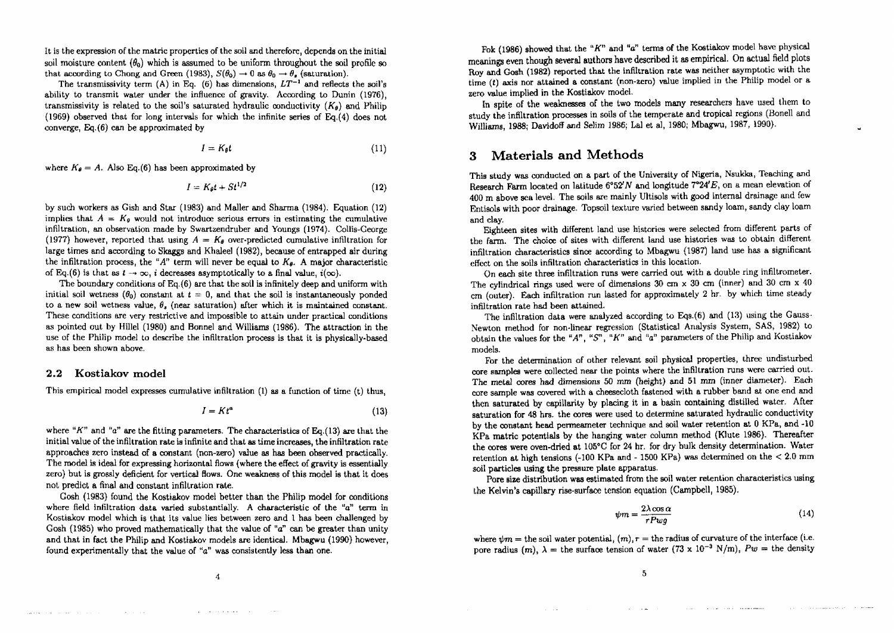It is the expression of the matric properties of the soil and therefore, depends on the initial soil moisture content  $(\theta_0)$  which is assumed to be uniform throughout the soil profile so that according to Chong and Green (1983),  $S(\theta_0) \rightarrow 0$  as  $\theta_0 \rightarrow \theta$ , (saturation).

The transmissivity term (A) in Eq. (6) has dimensions,  $LT^{-1}$  and reflects the soil's ability to transmit water under the influence of gravity. According to Dunin (1976), transmissivity is related to the soil's saturated hydraulic conductivity *(Ka)* and Philip (1969) observed that for long intervals for which the infinite series of Eq.(4) does not converge, Eq.(6) can be approximated by

$$
I = K_{\theta} t \tag{11}
$$

where  $K_{\theta} = A$ . Also Eq.(6) has been approximated by

$$
I = K_{\theta}t + St^{1/2} \tag{12}
$$

by such workers as Gish and Star (1983) and Mailer and Sharma (1984). Equation (12) implies that  $A = K_{\theta}$  would not introduce serious errors in estimating the cumulative infiltration, an observation made by Swartzendruber and Youngs (1974). Collis-George (1977) however, reported that using  $A = K_{\theta}$  over-predicted cumulative infiltration for large times and according to Skaggs and Khalee! (1982), because of entrapped air during the infiltration process, the *"A"* term will never be equal to *Kg. A* major characteristic of Eq.(6) is that as  $t \to \infty$ , *i* decreases asymptotically to a final value,  $i(\infty)$ .

The boundary conditions of Eq.(6) are that the soil is infinitely deep and uniform with initial soil wetness  $(\theta_0)$  constant at  $t = 0$ , and that the soil is instantaneously ponded to a new soil wetness value,  $\theta_{\star}$  (near saturation) after which it is maintained constant. These conditions are very restrictive and impossible to attain under practical conditions as pointed out by Hillel (1980) and Bonnel and Williams (1986). The attraction in the use of the Philip model to describe the infiltration process is that it is physically-based as has been shown above.

### **2.2 Kostiakov model**

**Carl Corporation** 

This empirical model expresses cumulative infiltration (I) as a function of time (t) thus,

$$
I = K t^a \tag{13}
$$

where "K" and "a" are the fitting parameters. The characteristics of Eq.(13) are that the initial value of the infiltration rate is infinite and that as time increases, the infiltration rate approaches zero instead of a constant (non-zero) value as has been observed practically. The model is ideal for expressing horizontal flows (where the effect of gravity is essentially zero) but is grossly deficient for vertical flows. One weakness of this model is that it does not predict a final and constant infiltration rate.

Gosh (1983) found the Kostiakov model better than the Philip model for conditions where field infiltration data varied substantially. A characteristic of the "a" term in Kostiakov model which is that its value lies between zero and 1 has been challenged by Gosh (1985) who proved mathematically that the value of "a" can be greater than unity and that in fact the Philip and Kostiakov models are identical. Mbagwu (1990) however, found experimentally that the value of " $a$ " was consistently less than one.

Fok (1986) showed that the "K" and "a" terms of the Kostiakov model have physical meanings even though several authors have described it as empirical. On actual field plots Roy and Gosh (1982) reported that the infiltration rate was neither asymptotic with the time *(t)* axis nor attained a constant (non-zero) value implied in the Philip model or a zero value implied in the Kostiakov model.

In spite of the weaknesses of the two models many researchers have used them to study the infiltration processes in soils of the temperate and tropical regions (Bonell and Williams, 1988; Davidoff and Selim 1986; Lai et al, 1980; Mbagwu, 1987, 1990).

# 3 Materials and Methods

This study was conducted on a part of the University of Nigeria, Nsukka, Teaching and Research Farm located on latitude  $6^{\circ}52'N$  and longitude  $7^{\circ}24'E$ , on a mean elevation of 400 m above sea level. The soils are mainly Ultisols with good internal drainage and few Entisols with poor drainage. Topsoil texture varied between sandy loam, sandy clay loam and clay.

Eighteen sites with different land use histories were selected from different parts of the farm. The choice of sites with different land use histories was to obtain different infiltration characteristics since according to Mbagwu (1987) land use has a significant effect on the soils infiltration characteristics in this location.

On each site three infiltration runs were carried out with a double ring infiltrometer. The cylindrical rings used were of dimensions  $30 \text{ cm} \times 30 \text{ cm}$  (inner) and  $30 \text{ cm} \times 40$ cm (outer). Each infiltration run lasted for approximately 2 hr. by which time steady infiltration rate had been attained.

The infiltration data were analyzed according to Eqs.(6) and (13) using the Gauss-Newton method for non-linear regression (Statistical Analysis System, SAS, 1982) to obtain the values for the *"A"*, "5", *'<sup>l</sup>K*" and "a" parameters of the Philip and Kostiakov models.

For the determination of other relevant soil physical properties, three undisturbed core samples were collected near the points where the infiltration runs were carried out. The metal cores had dimensions 50 mm (height) and 51 mm (inner diameter). Each core sample was covered with a cheesecloth fastened with a rubber band at one end and then saturated by capillarity by placing it in a basin containing distilled water. After saturation for 48 hrs. the cores were used to determine saturated hydraulic conductivity by the constant head permeameter technique and soil water retention at 0 KPa, and -10 KPa matric potentials by the hanging water column method (Klute 1986). Thereafter the cores were oven-dried at 105°C for 24 hr. for dry bulk density determination. Water retention at high tensions (-100 KPa and - 1500 KPa) was determined on the < 2.0 mm soil particles using the pressure plate apparatus.

Pore size distribution was estimated from the soil water retention characteristics using the Kelvin's capillary rise-surface tension equation (Campbell, 1985).

$$
\psi m = \frac{2\lambda \cos \alpha}{r P w g} \tag{14}
$$

where  $\psi m =$  the soil water potential,  $(m)$ ,  $r =$  the radius of curvature of the interface (i.e. pore radius  $(m)$ ,  $\lambda =$  the surface tension of water  $(73 \times 10^{-3} \text{ N/m})$ ,  $Pw =$  the density

the company of the company of the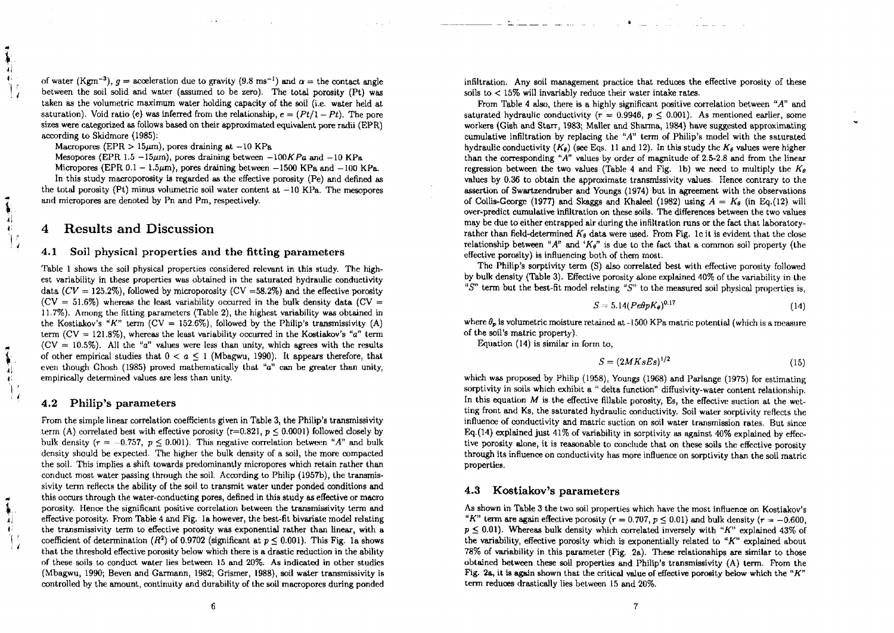of water (Kgm<sup>-3</sup>),  $g =$  acceleration due to gravity (9.8 ms<sup>-1</sup>) and  $\alpha =$  the contact angle between the soil solid and water (assumed to be zero). The total porosity (Pt) was taken as the volumetric maximum water holding capacity of the soil (i.e. water held at saturation). Void ratio (e) was inferred from the relationship,  $e = (Pt/1 - Pt)$ . The pore sizes were categorized as follows based on their approximated equivalent pore radii (EPR) according to Skidmore (1985):

state of the control

Macropores (EPR  $> 15\mu$ m), pores draining at  $-10$  KPa

Mesopores (EPR  $1.5 - 15\mu$ m), pores draining between  $-100KP_a$  and  $-10$  KPa

Micropores (EPR  $0.1 - 1.5\mu$ m), pores draining between  $-1500$  KPa and  $-100$  KPa. In this study macroporosity is regarded as the effective porosity (Pe) and defined as the total porosity  $(Pt)$  minus volumetric soil water content at  $-10$  KPa. The mesopores and micropore8 are denoted by Pn and Pm, respectively.

# 4 Results and Discussion

和世界

制制

#### 4.1 Soil physical properties and the fitting parameters

Table 1 shows the soil physical properties considered relevant in this study. The highest variability in these properties was obtained in the saturated hydraulic conductivity data *(CV =* 125.2%), followed by microporosity (CV =58.2%) and the effective porosity  $(CV = 51.6\%)$  whereas the least variability occurred in the bulk density data  $(CV = 51.6\%)$ 11.7%). Among the fitting parameters (Table 2), the highest variability was obtained in the Kostiakov's "K" term  $(CV = 152.6\%)$ , followed by the Philip's transmissivity (A) term  $(CV = 121.8\%)$ , whereas the least variability occurred in the Kostiakov's "a" term  $(CV = 10.5\%)$ . All the "a" values were less than unity, which agrees with the results of other empirical studies that  $0 < a \le 1$  (Mbagwu, 1990). It appears therefore, that even though Ghosh (1985) proved mathematically that " $a$ " can be greater than unity, empirically determined values are less than unity.

### 4.2 Philip's parameters

From the simple linear correlation coefficients given in Table 3, the Philip's transmissivity term (A) correlated best with effective porosity  $(r=0.821, p \le 0.0001)$  followed closely by bulk density  $(r = -0.757, p \le 0.001)$ . This negative correlation between "A" and bulk density should be expected. The higher the bulk density of a soil, the more compacted the soil. This implies a shift towards predominantly micropores which retain rather than conduct most water passing through the soil. According to Philip (1957b), the transmissivity term reflects the ability of the soil to transmit water under ponded conditions and this occurs through the water-conducting pores, defined in this study as effective or macro porosity. Hence the significant positive correlation between the transmissivity term and effective porosity. From Table 4 and Fig. la however, the best-fit bivariate model relating the transmissivity term to effective porosity was exponential rather than linear, with a coefficient of determination  $(R^2)$  of 0.9702 (significant at  $p \le 0.001$ ). This Fig. 1a shows that the threshold effective porosity below which there is a drastic reduction in the ability of these soils to conduct water lies between 15 and 20%. As indicated in other studies (Mbagwu, 1990; Beven and Garmann, 1982; Grismer, 1988), soil water transmissivity is controlled by the amount, continuity and durability of the soil macropores during ponded infiltration. Any soil management practice that reduces the effective porosity of these soils to < 15% will invariably reduce their water intake rates.

the company of the company of the company of the company of the company of the company of the company of the company of the company of the company of the company of the company of the company of the company of the company

From Table 4 also, there is a highly significant positive correlation between *"A"* and saturated hydraulic conductivity ( $r = 0.9946$ ,  $p \le 0.001$ ). As mentioned earlier, some workers (Gish and Starr, 1983; Mailer and Sharma, 1984) have suggested approximating cumulative infiltration by replacing the *"A"* term of Philip's model with the saturated hydraulic conductivity  $(K_{\theta})$  (see Eqs. 11 and 12). In this study the  $K_{\theta}$  values were higher than the corresponding *"A"* values by order of magnitude of 2.5-2.8 and from the linear regression between the two values (Table 4 and Fig. 1b) we need to multiply the  $K_{\theta}$ values by 0.36 to obtain the approximate transmissivity values. Hence contrary to the assertion of Swartzendruber and Youngs (1974) but in agreement with the observations of Collis-George (1977) and Skaggs and Khaleel (1982) using  $A = K_{\theta}$  (in Eq.(12) will over-predict cumulative infiltration on these soils. The differences between the two values may be due to either entrapped air during the infiltration runs or the fact that laboratoryrather than field-determined  $K_{\theta}$  data were used. From Fig. 1c it is evident that the close relationship between " $A$ " and ' $K_{\theta}$ " is due to the fact that a common soil property (the effective porosity) is influencing both of them most.

The Philip's sorptivity term (S) also correlated best with effective porosity followed by bulk density (Table 3). Effective porosity alone explained 40% of the variability in the *"S"* term but the best-fit model relating *"S"* to the measured soil physical properties is,

$$
S = 5.14 (Pe\theta p K_{\theta})^{0.17} \tag{14}
$$

where  $\theta_p$  is volumetric moisture retained at -1500 KPa matric potential (which is a measure of the soil's matric property).

Equation (14) is similar in form to,

$$
S = (2MKsEs)^{1/2} \tag{15}
$$

which was proposed by Philip (1958), Youngs (1968) and Parlange (1975) for estimating sorptivity in soils which exhibit a " delta function" diffusivity-water content relationship. In this equation *M* is the effective fillable porosity, Es, the effective suction at the wetting front and Ks, the saturated hydraulic conductivity. Soil water sorptivity reflects the influence of conductivity and matric suction on soil water transmission rates. But since Eq.(14) explained just  $41\%$  of variability in sorptivity as against  $40\%$  explained by effective porosity alone, it is reasonable to conclude that on these soils the effective porosity through its influence on conductivity has more influence on sorptivity than the soil matric properties.

## 4.3 Kostiakov's parameters

As shown in Table 3 the two soil properties which have the most influenoe on Kostiakov's *"K"* term are again effective porosity ( $r = 0.707$ ,  $p \le 0.01$ ) and bulk density ( $r = -0.600$ ,  $p \leq 0.01$ ). Whereas bulk density which correlated inversely with "K" explained 43% of the variability, effective porosity which is exponentially related to *<sup>l</sup>'K"* explained about  $78\%$  of variability in this parameter (Fig. 2a). These relationships are similar to those obtained between these soil properties and Philip's transmissivity (A) term. From the Fig. 2a, it is again shown that the critical value of effective porosity below which the *"K"* term reduces drastically lies between 15 and 20%.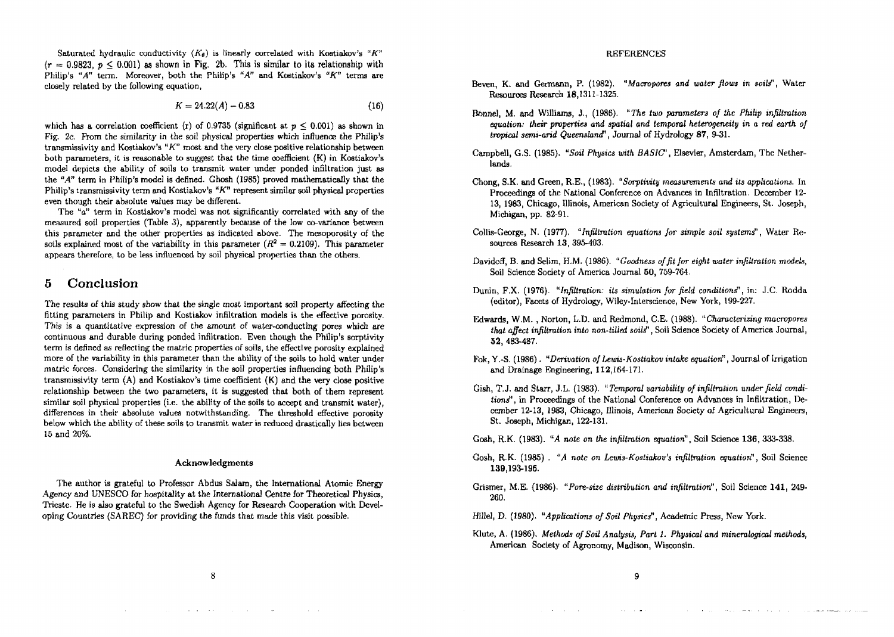Saturated hydraulic conductivity  $(K_{\theta})$  is linearly correlated with Kostiakov's "K"  $(r = 0.9823, p \le 0.001)$  as shown in Fig. 2b. This is similar to its relationship with Philip's *"A"* term. Moreover, both the Philip's *"A"* and Kostiakov's *"K"* terms are closely related by the following equation,

$$
K = 24.22(A) - 0.83\tag{16}
$$

which has a correlation coefficient (r) of 0.9735 (significant at  $p \leq 0.001$ ) as shown in Fig. 2c. From the similarity in the soil physical properties which influence the Philip's transmissivity and Kostiakov's *"K"* most and the very close positive relationship between both parameters, it is reasonable to suggest that the time coefficient (K) in Kostiakov's model depicts the ability of soils to transmit water under ponded infiltration just as the *"A"* term in Philip's model is defined. Ghosh (1985) proved mathematically that the Philip's transmissivity term and Kostiakov's *"K"* represent similar soil physical properties even though their absolute values may be different.

The "a" term in Kostiakov's model was not significantly correlated with any of the measured soil properties (Table 3), apparently because of the low cc-variance between this parameter and the other properties as indicated above. The mesoporosity of the soils explained most of the variability in this parameter  $(R^2 = 0.2109)$ . This parameter appears therefore, to be less influenced by soil physical properties than the others.

# 5 Conclusion

The results of this study show that the single most important soil property affecting the fitting parameters in Philip and Kostiakov infiltration models is the effective porosity. This is a quantitative expression of the amount of water-conducting pores which are continuous and durable during ponded infiltration. Even though the Philip's sorptivity term is defined as reflecting the matric properties of soils, the effective porosity explained more of the variability in this parameter than the ability of the soils to hold water under matric forces. Considering the similarity in the soil properties influencing both Philip's transmissivity term (A) and Kostiakov's time coefficient (K) and the very close positive relationship between the two parameters, it is suggested that both of them represent similar soil physical properties (i.e. the ability of the soils to accept and transmit water), differences in their absolute values notwithstanding. The threshold effective porosity below which the ability of these soils to transmit water is reduced drastically lies between 15 and 20%.

#### **Acknowledgments**

The author is grateful to Professor Abdus Salara, the International Atomic Energy Agency and UNESCO for hospitality at the International Centre for Theoretical Physics, Trieste. He is also grateful to the Swedish Agency for Research Cooperation with Developing Countries (SAREC) for providing the funds that made this visit possible.

#### REFERENCES

- Beven, K. and Germann, P. (1982). "*Macropores and water flows* in *soils"*, Water Resources Research 18,1311-1325.
- Bonnel, M. and Williams, J., (1986). *"The two parameters of the Philip infiltration equation: their properties and spatial and temporal heterogeneity in a red earth of tropical* semi-arid *Queensland"*, Journal of Hydrology 87, 9-31.
- Campbell, G.S. (1985). *"Soil Physics with BASIC*". Elsevier, Amsterdam, The Netherlands.
- Chong, S.K. and Green, R.E., (1983). *"Sorptivity measurements and its applications.* In Proceedings of the National Conference on Advances in Infiltration. December 12- 13, 1983, Chicago, Illinois, American Society of Agricultural Engineers, St. Joseph, Michigan, pp. 82-91.
- Collis-George, N. (1977). *"Infiltration equations for simple soil systems",* Water Resources Research 13, 395-403.
- Davidoff, B. and Selim, H.M. (1986). *"Goodness of fit for eight water infiltration models,* Soil Science Society of America Journal 50, 759-764.
- Dunin, F.X. (1976). *"Infiltration: its simulation for field conditions",* in: J.C. Rodda (editor), Facets of Hydrology, Wiley-Interscience, New York, 199-227.
- Edwards, W.M. , Norton, L.D. and Redmond, C.E. (1988). *"Characterizing macropores that affect infiltration into non-tilled soils"*, Soil Science Society of America Journal, 52, 483-487.
- Fok, Y.-S. (1986). *"Derivation of Lewis-Kostiakov intake equation",* Journal of Irrigation and Drainage Engineering, 112,164-171.
- Gish, T.J. and Starr, J.L. (1983). "Temporal *variability of infiltration under field conditions",* in Proceedings of the National Conference on Advances in Infiltration, December 12-13, 1983, Chicago, Illinois, American Society of Agricultural Engineers, St. Joseph, Michigan, 122-131.
- Gosh, R.K. (1983). *"A note on the infiltration equation",* Soil Science **136,** 333-338.
- Gosh, R.K. (1985) . *"A note on Lewis-Kostiakov's infiltration equation<sup>1</sup> ',* Soil Science 139,193-196.
- Grismer, M.E. (1986). *"Pore-size distribution and infiltration",* Soil Science 141, 249- 260.
- Hillel, D. (1980). *"Applications of Soil Physics",* Academic Press, New York.

and the company

Klute, A. (1986). *Methods of Soil Analysis, Part 1. Physical and mineralogical methods,* American Society of Agronomy, Madison, Wisconsin.

the control of the control of the control of the control of the control of the control of the

 $\Delta\Delta\approx 1.0\pm 0.0$ 

and the company of the company of the company of the company of the company of the company of the company of the company of the company of the company of the company of the company of the company of the company of the comp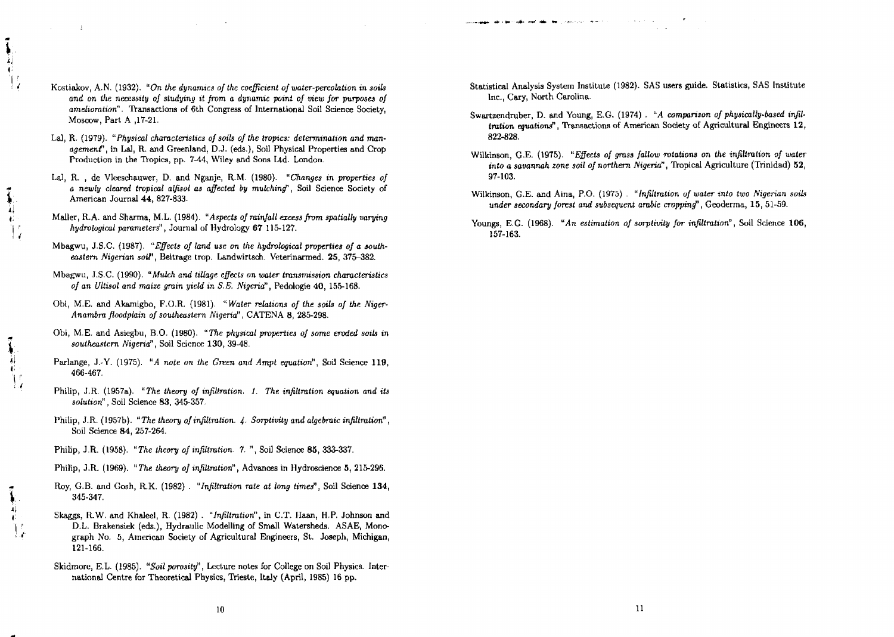Kostiakov, A.N. (1932). "On the dynamics of the coefficient of water-percolation in soils and on the necessity of studying it from a dynamic point of view for purposes of amelioration". Transactions of 6th Congress of International Soil Science Society. Moscow, Part A ,17-21.

 $\pm$ 

- Lal. R. (1979). "Physical characteristics of soils of the trovics: determination and management", in Lal, R. and Greenland, D.J. (eds.), Soil Physical Properties and Crop Production in the Tropics, pp. 7-44, Wiley and Sons Ltd. London.
- Lal, R., de Vleeschauwer, D. and Nganje, R.M. (1980). "Changes in properties of a newly cleared tropical alfisol as affected by mulching'', Soil Science Society of American Journal 44, 827-833.
- Maller, R.A. and Sharma, M.L. (1984). "Aspects of rainfall excess from spatially varying hydrological parameters", Journal of Hydrology 67 115-127.
- Mbagwu, J.S.C. (1987). "Effects of land use on the hydrological properties of a southeastern Nigerian soil". Beitrage trop. Landwirtsch. Veterinarmed. 25. 375-382.
- Mbagwu, J.S.C. (1990). "Mulch and tillage effects on water transmission characteristics of an Ultisol and maize grain vield in S.E. Nigeria". Pedologie 40, 155-168.
- Obi, M.E. and Akamigbo, F.O.R. (1981). "Water relations of the soils of the Niger-Anambra floodplain of southeastern Nigeria", CATENA 8, 285-298.
- Obi, M.E. and Asiegbu, B.O. (1980). "The physical properties of some eroded soils in southeastern Nigeria", Soil Science 130, 39-48.
- Parlange, J.-Y. (1975). "A note on the Green and Ampt equation", Soil Science 119, 466-467.
- Philip, J.R. (1957a). "The theory of infiltration. 1. The infiltration equation and its solution". Soil Science 83, 345-357.
- Philip. J.R. (1957b). "The theory of infiltration. A. Sorptivity and algebraic infiltration". Soil Science 84, 257-264.
- Philip, J.R. (1958). "The theory of infiltration. 7.", Soil Science 85, 333-337.
- Philip, J.R. (1969). "The theory of infiltration", Advances in Hydroscience 5, 215-296.
- Roy, G.B. and Gosh, R.K. (1982). "Infiltration rate at long times". Soil Science 134, 345-347.
- Skaggs, R.W. and Khaleel, R. (1982). "Infiltration", in C.T. Haan, H.P. Johnson and D.L. Brakensiek (eds.), Hydraulic Modelling of Small Watersheds. ASAE, Monograph No. 5, American Society of Agricultural Engineers, St. Joseph, Michigan, 121-166.
- Skidmore, E.L. (1985). "Soil porosity", Lecture notes for College on Soil Physics. International Centre for Theoretical Physics, Trieste, Italy (April, 1985) 16 pp.
- Statistical Analysis System Institute (1982). SAS users guide. Statistics, SAS Institute Inc., Cary, North Carolina.
- Swartzendruber, D. and Young, E.G. (1974). "A comparison of physically-based infiltration equations", Transactions of American Society of Agricultural Engineers 12. 822-828
- Wilkinson, G.E. (1975). "Effects of grass fallow rotations on the infiltration of water into a savannah zone soil of northern Nigeria", Tropical Agriculture (Trinidad) 52, 97-103.
- Wilkinson, G.E. and Aina, P.O. (1975). "Infiltration of water into two Nigerian soils under secondary forest and subsequent arable cropping", Geoderma, 15, 51-59.
- Youngs, E.G. (1968). "An estimation of sorptivity for infiltration", Soil Science 106, 157-163.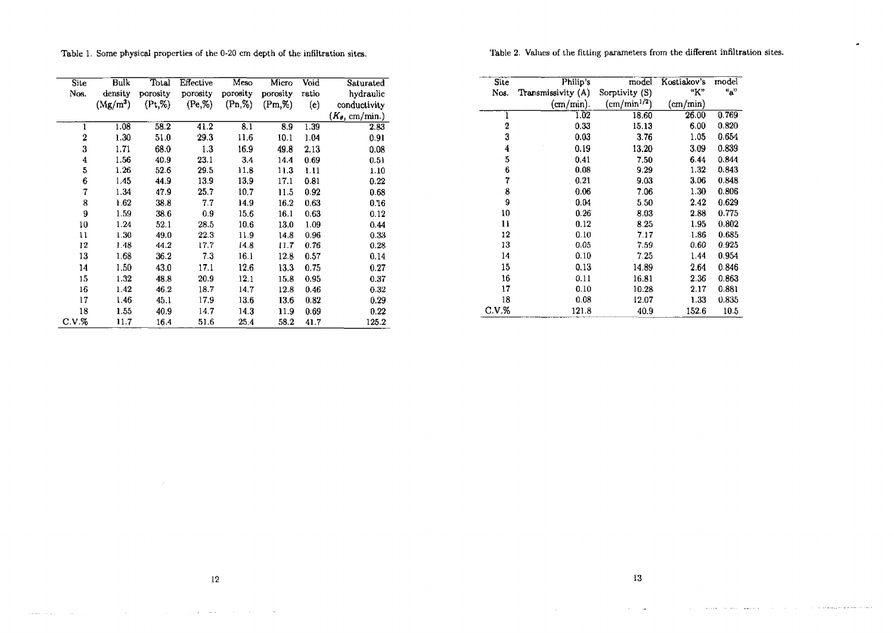Table 1. Some physical properties of the 0-20 cm depth of the infiltration sites.

Table 2, Values of the fitting parameters from the different infiltration sites.

٠.

| Site                    | Bulk       | Total    | Effective | Meso     | Micro     | Void  | Saturated               |
|-------------------------|------------|----------|-----------|----------|-----------|-------|-------------------------|
| Nos.                    | density    | porosity | porosity  | porosity | porosity  | ratio | hydraulic               |
|                         | $(Mg/m^3)$ | (Pt, %)  | (Pe, %)   | (Pr, %   | $(Pm,\%)$ | (e)   | conductivity            |
|                         |            |          |           |          |           |       | $(K_{\theta}, cm/min.)$ |
| ı                       | 1.08       | 58.2     | 41.2      | 8.1      | 89        | 1.39  | 2.83                    |
| $\overline{2}$          | 1.30       | 51.0     | 29.3      | 11.6     | 10.1      | 1.04  | 0.91                    |
| 3                       | 1.71       | 68.0     | 1.3       | 16.9     | 49.8      | 2.13  | 0.08                    |
| $\overline{\mathbf{4}}$ | 1.56       | 40.9     | 23.1      | 3.4      | 14.4      | 0.69  | 0.51                    |
| 5                       | 1.26       | 52.6     | 29.5      | 11.8     | 11.3      | 1.11  | 1.10                    |
| $\boldsymbol{6}$        | 1.45       | 44.9     | 13.9      | 13.9     | 17.1      | 0.81  | 0.22                    |
| $\overline{7}$          | 1.34       | 47.9     | 25.7      | 10.7     | 11.5      | 0.92  | 0.68                    |
| 8                       | 1.62       | 38.8     | 7.7       | 14.9     | 16.2      | 0.63  | 0.16                    |
| 9                       | 1.59       | 38.6     | 0.9       | 15.6     | 16.1      | 0.63  | 0.12                    |
| 10                      | 1.24       | 52.1     | 28.5      | 10.6     | 13.0      | 1.09  | 0.44                    |
| 11                      | 1.30       | 49.0     | 22.3      | 11.9     | 14.8      | 0.96  | 0.33                    |
| 12                      | 1.48       | 44.2     | 17.7      | 14.8     | 11.7      | 0.76  | 0.28                    |
| 13                      | 1.68       | 36.2     | 7.3       | 16.1     | 12.8      | 0.57  | 0.14                    |
| 14                      | 1.50       | 43.0     | 17.1      | 12.6     | 13.3      | 0.75  | 0.27                    |
| 15                      | 1.32       | 48.8     | 20.9      | 12.1     | 15.8      | 0.95  | 0.37                    |
| 16                      | 1.42       | 46.2     | 18.7      | 14.7     | 12.8      | 0.46  | 0.32                    |
| 17                      | 1.46       | 45.1     | 17.9      | 13.6     | 13.6      | 0.82  | 0.29                    |
| 18                      | 1.55       | 40.9     | 14.7      | 14.3     | 11.9      | 0.69  | 0.22                    |
| $C.V. \%$               | 11.7       | 16.4     | 51.6      | 25.4     | 58.2      | 41.7  | 125.2                   |

| Site  | Philip's           | model                                             | Kostiakov's       | model |
|-------|--------------------|---------------------------------------------------|-------------------|-------|
| Nos.  | Transmissivity (A) | Sorptivity (S)                                    | "К"               | "a"   |
|       | (cm/min).          | $\left(\frac{\text{cm}}{\text{min}^{1/2}}\right)$ | $\text{(cm/min)}$ |       |
| ı     | $\overline{1.02}$  | 18.60                                             | 26.00             | 0.769 |
| 2     | 0.33               | 15.13                                             | 6.00              | 0.820 |
| 3     | 0.03               | 3.76                                              | 1.05              | 0.654 |
| 4     | 0.19               | 13.20                                             | 3.09              | 0.839 |
| 5     | 0.41               | 7.50                                              | 6.44              | 0.844 |
| 6     | 0.08               | 9.29                                              | 1.32              | 0.843 |
| 7     | 0.21               | 9.03                                              | 3.06              | 0.848 |
| 8     | 0.06               | 7.06                                              | 1.30              | 0.806 |
| 9     | 0.04               | 5.50                                              | 2.42              | 0.629 |
| 10    | 0.26               | 8.03                                              | 2.88              | 0.775 |
| 11    | 0.12               | 8.25                                              | 1.95              | 0.802 |
| 12    | 0.10               | 7.17                                              | 1.86              | 0.685 |
| 13    | 0.05               | 7.59                                              | 0.60              | 0.925 |
| 14    | 0.10               | 725                                               | 1.44              | 0.954 |
| 15    | 0.13               | 14.89                                             | 2.64              | 0.846 |
| 16    | 0.11               | 16.81                                             | 2.36              | 0.863 |
| 17    | 0.10               | 1028                                              | 2.17              | 0.881 |
| 18    | 0.08               | 12.07                                             | 1.33              | 0.835 |
| C.V.% | 121.8              | 40.9                                              | 152.6             | 10.5  |

 $\sim 10^{-1}$ 

المستحدث والمتعاون والمستعفر والمتعارض والمتعارف والمتعارف والمتعارف والمتعارف والمستحدث

13

 $\omega_{\rm c} = \omega_{\rm m}$ 

 $\mathcal{A}^{\mathcal{A}}$ 

التفاعيا الصحيح

**Continued** 

 $\hat{r}$  , and a sequence of the contract  $\hat{r}$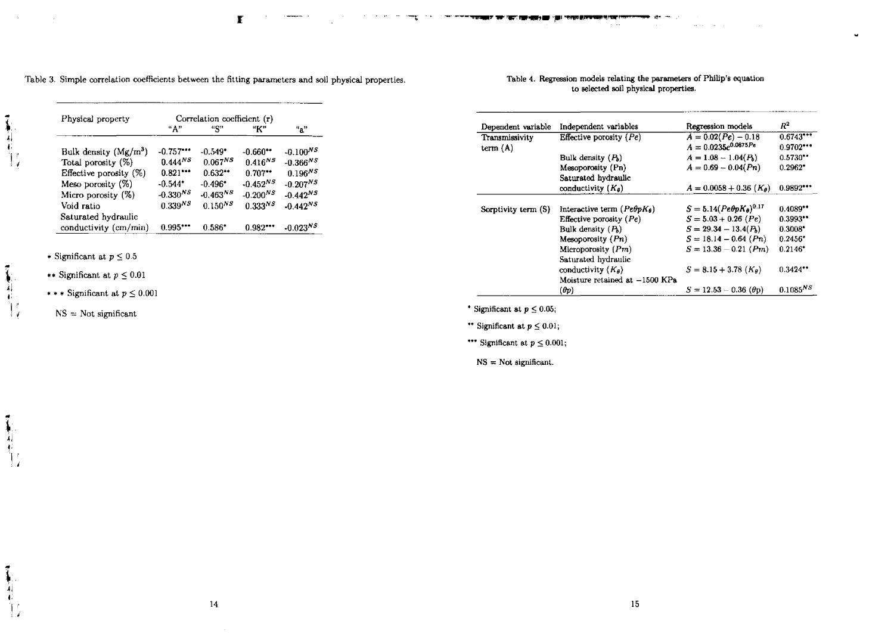Table 3. Simple correlation coefficients between the fitting parameters and soil physical properties.

 $\mathbf{r}$ 

| Physical property         | Correlation coefficient (r) |               |               |               |
|---------------------------|-----------------------------|---------------|---------------|---------------|
|                           | "А"                         | "S"           | "K"           | "a"           |
| Bulk density $(Mg/m^3)$   | $-0.757***$                 | $-0.549*$     | $-0.660**$    | $-0.100^{NS}$ |
| Total porosity (%)        | $0.444^{NS}$                | $0.067^{NS}$  | $0.416^{NS}$  | $-0.366^{NS}$ |
| Effective porosity $(\%)$ | 0.821                       | 0.632         | $0.707**$     | $0.196^{NS}$  |
| Meso porosity $(\%)$      | $-0.544*$                   | $-0.496*$     | $-0.452^{NS}$ | $-0.207^{NS}$ |
| Micro porosity (%)        | $-0.330^{NS}$               | $-0.463^{NS}$ | $-0.200^{NS}$ | $-0.442^{NS}$ |
| Void ratio                | $0.339^{NS}$                | $0.150^{NS}$  | $0.333^{NS}$  | $-0.442^{NS}$ |
| Saturated hydraulic       |                             |               |               |               |
| conductivity (cm/min)     | $0.995***$                  | $0.586*$      | $0.982***$    | $-0.023NS$    |

+ Significant at  $p \leq 0.5$ 

\*\* Significant at *p <* 0.01

\* \* \* Significant at  $p \leq 0.001$ 

 $NS = Not$  significant

*I .i*

 $\sim$   $\pm$ 

新社 !!

 $\mathbf{L}$ 

Table 4. Regression models relating the parameters of Philip's equation to selected soil physical properties.

| Dependent variable  | Independent variables                       | Regression models                         | $R^2$                  |
|---------------------|---------------------------------------------|-------------------------------------------|------------------------|
| Transmissivity      | Effective porosity $(Pe)$                   | $A = 0.02(Pe) - 0.18$                     | $0.6743***$            |
| term $(A)$          |                                             | $A = 0.0235e^{0.0875Pe}$                  | $0.9702***$            |
|                     | Bulk density $(P_b)$                        | $A = 1.08 - 1.04(P_0)$                    | $0.5730**$             |
|                     | Mesoporosity (Pn)                           | $A = 0.69 - 0.04(Ph)$                     | $0.2962$ <sup>*</sup>  |
|                     | Saturated hydraulic                         |                                           |                        |
|                     | conductivity $(K_g)$                        | $A = 0.0058 + 0.36$ (Ka)                  | $0.9892***$            |
| Sorptivity term (S) | Interactive term ( $Pe\theta pK_{\theta}$ ) | $S = 5.14 (Pe\theta p K_{\theta})^{0.17}$ | $0.4089$ <sup>**</sup> |
|                     | Effective porosity $(Pe)$                   | $S = 5.03 + 0.26$ (Pe)                    | 0.3993                 |
|                     | Bulk density $(P_0)$                        | $S = 29.34 - 13.4(B)$                     | $0.3008*$              |
|                     | Mesoporosity $(Pn)$                         | $S = 18.14 - 0.64$ (Pn)                   | $0.2456*$              |
|                     | Microporosity $(Pm)$                        | $S = 13.36 - 0.21$ (Pm)                   | $0.2146*$              |
|                     | Saturated hydraulic                         |                                           |                        |
|                     | conductivity $(K_{\theta})$                 | $S = 8.15 + 3.78$ (K <sub>a</sub> )       | $0.3424$ **            |
|                     | Moisture retained at -1500 KPa              |                                           |                        |
|                     | $(\theta p)$                                | $S = 12.53 - 0.36$ ( $\theta$ p)          | $0.1085$ <sup>NS</sup> |

\* Significant at  $p \leq 0.05$ ;

\*\* Significant at  $p \leq 0.01$ ;

\*\*\* Significant at  $p \leq 0.001$ ;

 $NS = Not$  significant.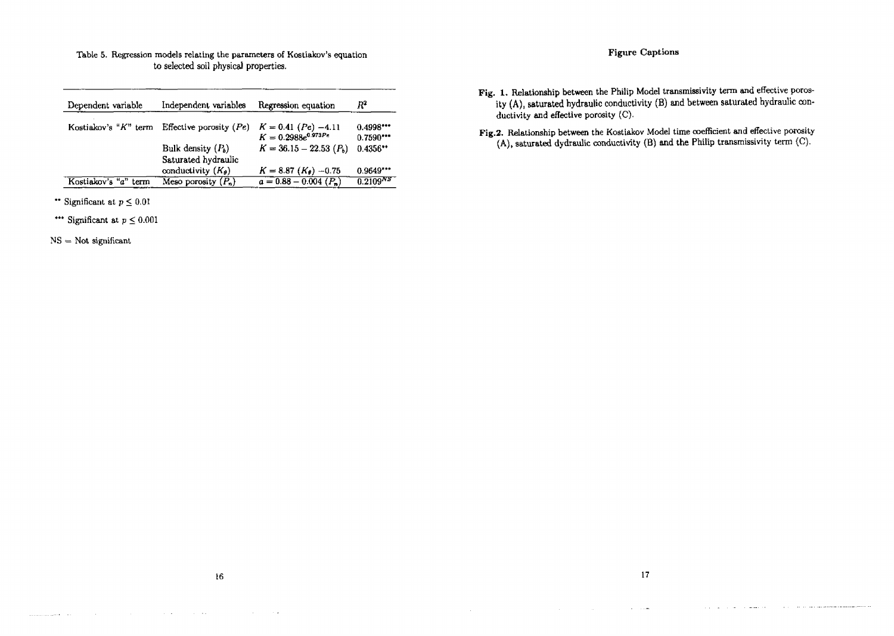## Table 5. Regression models relating the parameters of Kostiakov's equation to selected soil physical properties.

| Dependent variable       | Independent variables                       | Regression equation                               | Ŗª                    |
|--------------------------|---------------------------------------------|---------------------------------------------------|-----------------------|
| Kostiakov's " $K$ " term | Effective porosity $(Pe)$                   | $K = 0.41 (Pe) - 4.11$<br>$K = 0.2988e^{0.973Pe}$ | 0.4998<br>$0.7590***$ |
|                          | Bulk density $(P_b)$<br>Saturated hydraulic | $K = 36.15 - 22.53$ ( $Pb$ )                      | 0.4356                |
|                          | conductivity $(K_{\theta})$                 | $K = 8.87$ $(K_{\theta}) - 0.75$                  | $0.9649***$           |
| Kostiakov's "a" term     | Meso porosity $(P_n)$                       | $a = 0.88 - 0.004 (P_n)$                          | 0.2109 <sup>NS</sup>  |

" Significant at  $p \leq 0.01$ 

\*\*\* Significant at  $p \leq 0.001$ 

NS = Not significant

 $\label{eq:1} \begin{array}{lll} \text{argmax} & \text{argmax} & \text{argmax} \\ \text{argmax} & \text{argmax} \\ \text{argmax} & \text{argmax} \end{array}$ 

## Figure Captions

- Fig. 1. Relationship between the Philip Model transmissivity term and effective porosity (A), saturated hydraulic conductivity (B) and between saturated hydraulic conductivity and effective porosity (C).
- Fig.2. Relationship between the Kostiakov Model time coefficient and effective porosity (A), saturated dydraulic conductivity (B) and the Philip transmissivity term (C).

contractor and a

**College** 

**Services** 

**Carl Carl** 

 $\sim$   $\sim$   $\sim$   $\sim$ 

and a straightforward component